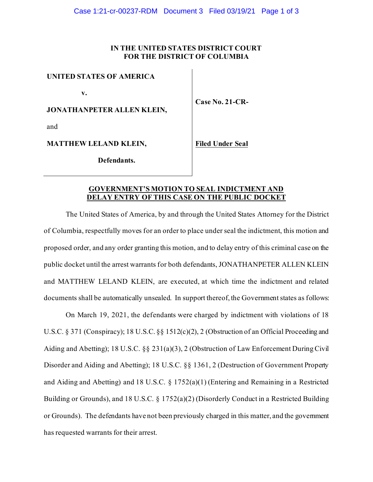# **IN THE UNITED STATES DISTRICT COURT FOR THE DISTRICT OF COLUMBIA**

**UNITED STATES OF AMERICA**

 **v.**

**JONATHANPETER ALLEN KLEIN,**

and

**MATTHEW LELAND KLEIN,**

 **Defendants.**

**Case No. 21-CR-**

**Filed Under Seal**

### **GOVERNMENT'S MOTION TO SEAL INDICTMENT AND DELAY ENTRY OF THIS CASE ON THE PUBLIC DOCKET**

The United States of America, by and through the United States Attorney for the District of Columbia, respectfully moves for an order to place under seal the indictment, this motion and proposed order, and any order granting this motion, and to delay entry of this criminal case on the public docket until the arrest warrants for both defendants, JONATHANPETER ALLEN KLEIN and MATTHEW LELAND KLEIN, are executed, at which time the indictment and related documents shall be automatically unsealed. In support thereof, the Government states as follows:

On March 19, 2021, the defendants were charged by indictment with violations of 18 U.S.C. § 371 (Conspiracy); 18 U.S.C. §§ 1512(c)(2), 2 (Obstruction of an Official Proceeding and Aiding and Abetting); 18 U.S.C. §§ 231(a)(3), 2 (Obstruction of Law Enforcement During Civil Disorder and Aiding and Abetting); 18 U.S.C. §§ 1361, 2 (Destruction of Government Property and Aiding and Abetting) and 18 U.S.C. § 1752(a)(1) (Entering and Remaining in a Restricted Building or Grounds), and 18 U.S.C. § 1752(a)(2) (Disorderly Conduct in a Restricted Building or Grounds). The defendants have not been previously charged in this matter, and the government has requested warrants for their arrest.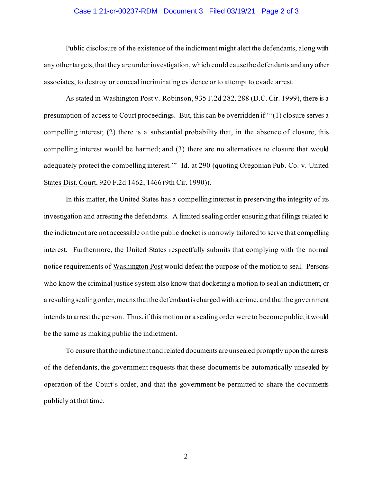#### Case 1:21-cr-00237-RDM Document 3 Filed 03/19/21 Page 2 of 3

Public disclosure of the existence of the indictment might alert the defendants, along with any other targets, that they are under investigation, which could cause the defendants and any other associates, to destroy or conceal incriminating evidence or to attempt to evade arrest.

As stated in Washington Post v. Robinson, 935 F.2d 282, 288 (D.C. Cir. 1999), there is a presumption of access to Court proceedings. But, this can be overridden if "'(1) closure serves a compelling interest; (2) there is a substantial probability that, in the absence of closure, this compelling interest would be harmed; and (3) there are no alternatives to closure that would adequately protect the compelling interest.'" Id. at 290 (quoting Oregonian Pub. Co. v. United States Dist. Court, 920 F.2d 1462, 1466 (9th Cir. 1990)).

In this matter, the United States has a compelling interest in preserving the integrity of its investigation and arresting the defendants. A limited sealing order ensuring that filings related to the indictment are not accessible on the public docket is narrowly tailored to serve that compelling interest. Furthermore, the United States respectfully submits that complying with the normal notice requirements of Washington Post would defeat the purpose of the motion to seal. Persons who know the criminal justice system also know that docketing a motion to seal an indictment, or a resulting sealing order, means that the defendant is charged with a crime, and that the government intends to arrest the person. Thus, if this motion or a sealing order were to become public, it would be the same as making public the indictment.

To ensure that the indictment and related documents are unsealed promptly upon the arrests of the defendants, the government requests that these documents be automatically unsealed by operation of the Court's order, and that the government be permitted to share the documents publicly at that time.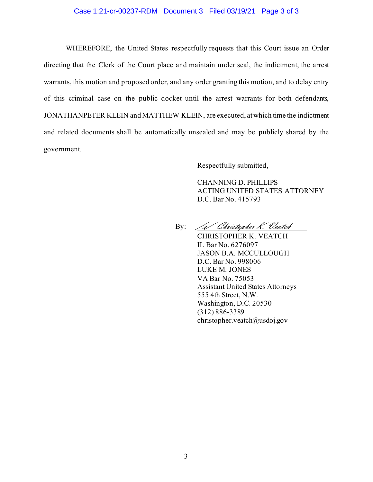### Case 1:21-cr-00237-RDM Document 3 Filed 03/19/21 Page 3 of 3

WHEREFORE, the United States respectfully requests that this Court issue an Order directing that the Clerk of the Court place and maintain under seal, the indictment, the arrest warrants, this motion and proposed order, and any order granting this motion, and to delay entry of this criminal case on the public docket until the arrest warrants for both defendants, JONATHANPETER KLEIN and MATTHEW KLEIN, are executed, at which time the indictment and related documents shall be automatically unsealed and may be publicly shared by the government.

Respectfully submitted,

CHANNING D. PHILLIPS ACTING UNITED STATES ATTORNEY D.C. Bar No. 415793

By: /s/ Christopher K. Veatch

CHRISTOPHER K. VEATCH IL Bar No. 6276097 JASON B.A. MCCULLOUGH D.C. Bar No. 998006 LUKE M. JONES VA Bar No. 75053 Assistant United States Attorneys 555 4th Street, N.W. Washington, D.C. 20530 (312) 886-3389 christopher.veatch@usdoj.gov